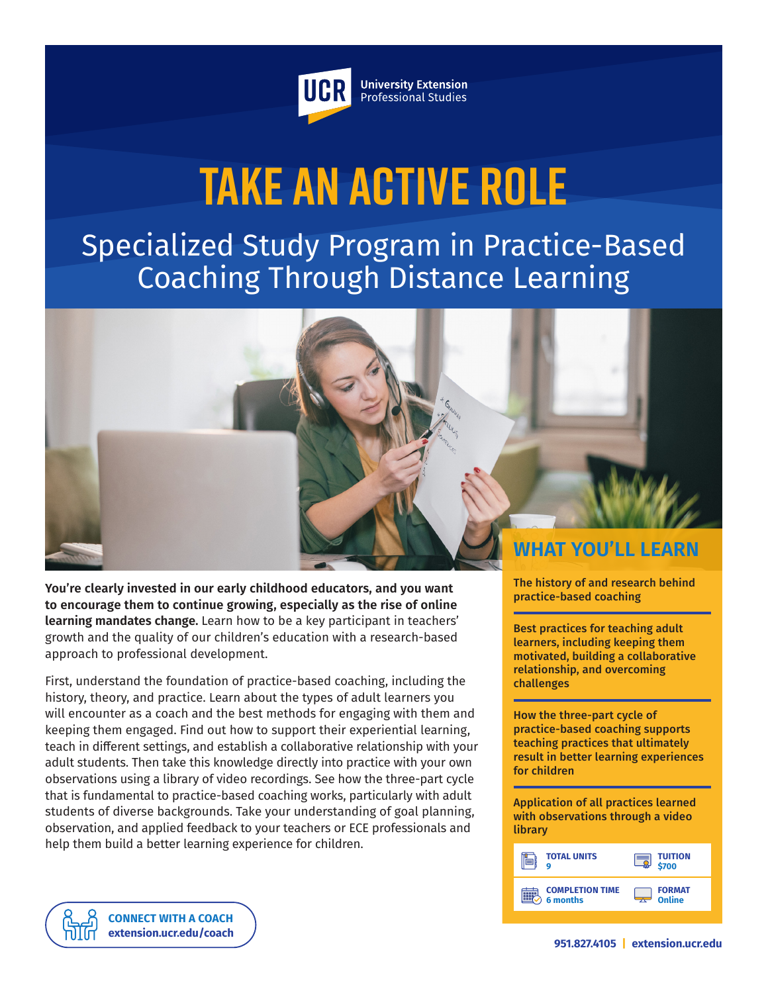

**University Extension** Professional Studies

# **Take an Active Role**

Specialized Study Program in Practice-Based Coaching Through Distance Learning

**WHAT YOU'LL LEARN**

**You're clearly invested in our early childhood educators, and you want to encourage them to continue growing, especially as the rise of online learning mandates change.** Learn how to be a key participant in teachers' growth and the quality of our children's education with a research-based approach to professional development.

First, understand the foundation of practice-based coaching, including the history, theory, and practice. Learn about the types of adult learners you will encounter as a coach and the best methods for engaging with them and keeping them engaged. Find out how to support their experiential learning, teach in different settings, and establish a collaborative relationship with your adult students. Then take this knowledge directly into practice with your own observations using a library of video recordings. See how the three-part cycle that is fundamental to practice-based coaching works, particularly with adult students of diverse backgrounds. Take your understanding of goal planning, observation, and applied feedback to your teachers or ECE professionals and help them build a better learning experience for children.

The history of and research behind practice-based coaching

Best practices for teaching adult learners, including keeping them motivated, building a collaborative relationship, and overcoming challenges

How the three-part cycle of practice-based coaching supports teaching practices that ultimately result in better learning experiences for children

Application of all practices learned with observations through a video library

| <b>TOTAL UNITS</b>                        | <b>TUITION</b><br>\$700      |
|-------------------------------------------|------------------------------|
| <b>COMPLETION TIME</b><br><b>6 months</b> | <b>FORMAT</b><br>Online<br>- |

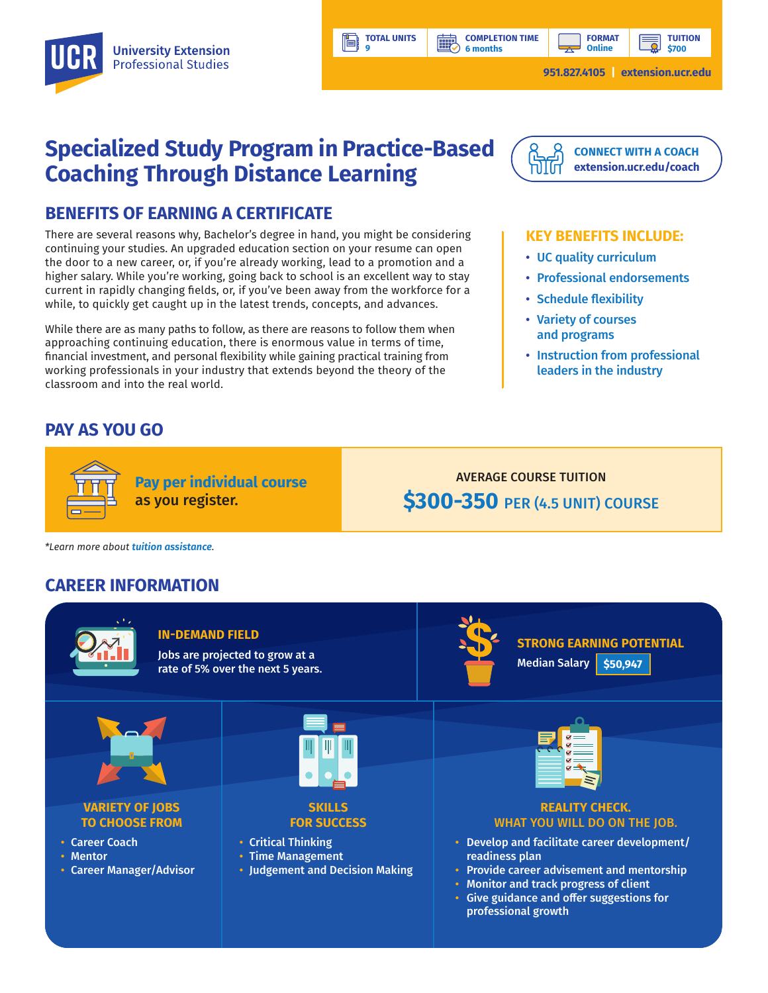

**TOTAL UNITS 9** 

**BBP** 

Ħ

**TUITION \$700**

## **Specialized Study Program in Practice-Based Coaching Through Distance Learning**

## **BENEFITS OF EARNING A CERTIFICATE**

There are several reasons why, Bachelor's degree in hand, you might be considering continuing your studies. An upgraded education section on your resume can open the door to a new career, or, if you're already working, lead to a promotion and a higher salary. While you're working, going back to school is an excellent way to stay current in rapidly changing fields, or, if you've been away from the workforce for a while, to quickly get caught up in the latest trends, concepts, and advances.

While there are as many paths to follow, as there are reasons to follow them when approaching continuing education, there is enormous value in terms of time, financial investment, and personal flexibility while gaining practical training from working professionals in your industry that extends beyond the theory of the classroom and into the real world.

**Pay per individual course**

as you register.

## **PAY AS YOU GO**



**[CONNECT WITH A COACH](https://extension.ucr.edu/studentresources/studentsuccesscoaches/studentsuccesscoaches) [extension.ucr.edu/coach](http://extension.ucr.edu/coach)**

#### **KEY BENEFITS INCLUDE:**

- UC quality curriculum
- Professional endorsements
- Schedule flexibility
- Variety of courses and programs
- Instruction from professional leaders in the industry

AVERAGE COURSE TUITION **\$300-350** PER (4.5 UNIT) COURSE

professional growth

*\*Learn more about tuition assistance.*

### **CAREER INFORMATION**